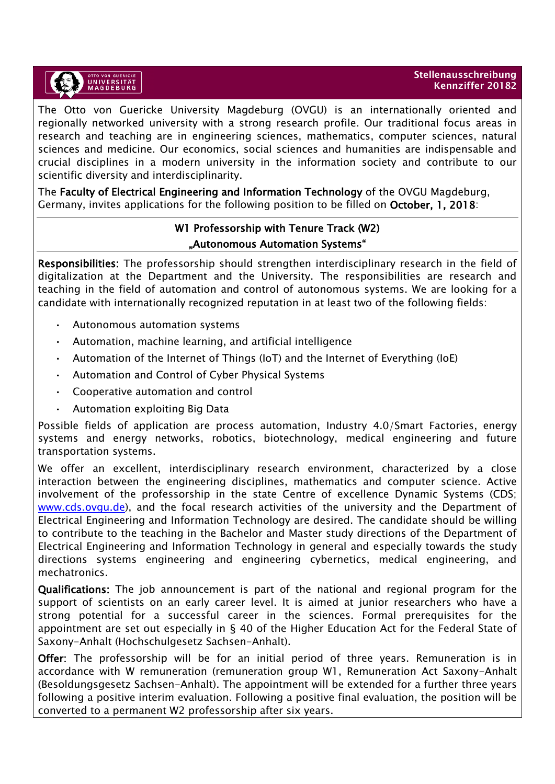

The Otto von Guericke University Magdeburg (OVGU) is an internationally oriented and regionally networked university with a strong research profile. Our traditional focus areas in research and teaching are in engineering sciences, mathematics, computer sciences, natural sciences and medicine. Our economics, social sciences and humanities are indispensable and crucial disciplines in a modern university in the information society and contribute to our scientific diversity and interdisciplinarity.

The Faculty of Electrical Engineering and Information Technology of the OVGU Magdeburg, Germany, invites applications for the following position to be filled on October, 1, 2018:

## W1 Professorship with Tenure Track (W2) "Autonomous Automation Systems"

Responsibilities: The professorship should strengthen interdisciplinary research in the field of digitalization at the Department and the University. The responsibilities are research and teaching in the field of automation and control of autonomous systems. We are looking for a candidate with internationally recognized reputation in at least two of the following fields:

- Autonomous automation systems
- Automation, machine learning, and artificial intelligence
- Automation of the Internet of Things (IoT) and the Internet of Everything (IoE)
- Automation and Control of Cyber Physical Systems
- Cooperative automation and control
- Automation exploiting Big Data

Possible fields of application are process automation, Industry 4.0/Smart Factories, energy systems and energy networks, robotics, biotechnology, medical engineering and future transportation systems.

We offer an excellent, interdisciplinary research environment, characterized by a close interaction between the engineering disciplines, mathematics and computer science. Active involvement of the professorship in the state Centre of excellence Dynamic Systems (CDS; [www.cds.ovgu.de\)](http://www.cds.ovgu.de/), and the focal research activities of the university and the Department of Electrical Engineering and Information Technology are desired. The candidate should be willing to contribute to the teaching in the Bachelor and Master study directions of the Department of Electrical Engineering and Information Technology in general and especially towards the study directions systems engineering and engineering cybernetics, medical engineering, and mechatronics.

Qualifications: The job announcement is part of the national and regional program for the support of scientists on an early career level. It is aimed at junior researchers who have a strong potential for a successful career in the sciences. Formal prerequisites for the appointment are set out especially in § 40 of the Higher Education Act for the Federal State of Saxony-Anhalt (Hochschulgesetz Sachsen-Anhalt).

Offer: The professorship will be for an initial period of three years. Remuneration is in accordance with W remuneration (remuneration group W1, Remuneration Act Saxony-Anhalt (Besoldungsgesetz Sachsen-Anhalt). The appointment will be extended for a further three years following a positive interim evaluation. Following a positive final evaluation, the position will be converted to a permanent W2 professorship after six years.